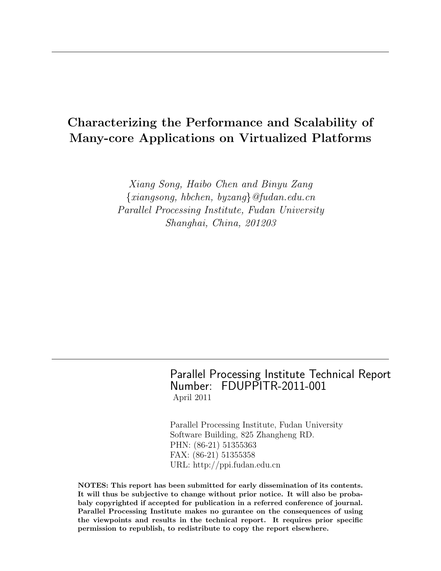# Characterizing the Performance and Scalability of Many-core Applications on Virtualized Platforms

Xiang Song, Haibo Chen and Binyu Zang {xiangsong, hbchen, byzang}@fudan.edu.cn Parallel Processing Institute, Fudan University Shanghai, China, 201203

> Parallel Processing Institute Technical Report Number: FDUPPITR-2011-001 April 2011

Parallel Processing Institute, Fudan University Software Building, 825 Zhangheng RD. PHN: (86-21) 51355363 FAX: (86-21) 51355358 URL: http://ppi.fudan.edu.cn

NOTES: This report has been submitted for early dissemination of its contents. It will thus be subjective to change without prior notice. It will also be probabaly copyrighted if accepted for publication in a referred conference of journal. Parallel Processing Institute makes no gurantee on the consequences of using the viewpoints and results in the technical report. It requires prior specific permission to republish, to redistribute to copy the report elsewhere.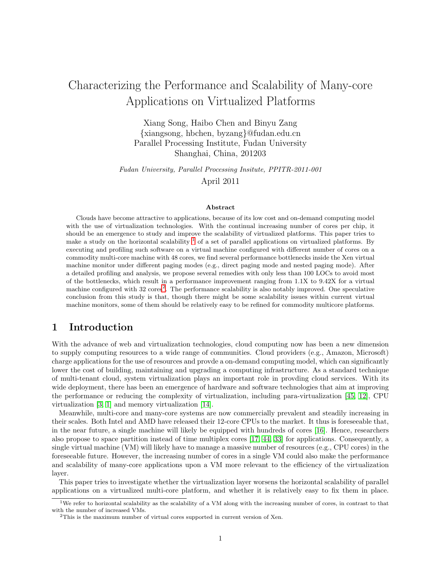# Characterizing the Performance and Scalability of Many-core Applications on Virtualized Platforms

Xiang Song, Haibo Chen and Binyu Zang {xiangsong, hbchen, byzang}@fudan.edu.cn Parallel Processing Institute, Fudan University Shanghai, China, 201203

Fudan University, Parallel Processing Insitute, PPITR-2011-001 April 2011

#### Abstract

Clouds have become attractive to applications, because of its low cost and on-demand computing model with the use of virtualization technologies. With the continual increasing number of cores per chip, it should be an emergence to study and improve the scalability of virtualized platforms. This paper tries to make a study on the horizontal scalability <sup>[1](#page-1-0)</sup> of a set of parallel applications on virtualized platforms. By executing and profiling such software on a virtual machine configured with different number of cores on a commodity multi-core machine with 48 cores, we find several performance bottlenecks inside the Xen virtual machine monitor under different paging modes (e.g., direct paging mode and nested paging mode). After a detailed profiling and analysis, we propose several remedies with only less than 100 LOCs to avoid most of the bottlenecks, which result in a performance improvement ranging from 1.1X to 9.42X for a virtual machine configured with 3[2](#page-1-1) cores<sup>2</sup>. The performance scalability is also notably improved. One speculative conclusion from this study is that, though there might be some scalability issues within current virtual machine monitors, some of them should be relatively easy to be refined for commodity multicore platforms.

## 1 Introduction

With the advance of web and virtualization technologies, cloud computing now has been a new dimension to supply computing resources to a wide range of communities. Cloud providers (e.g., Amazon, Microsoft) charge applications for the use of resources and provde a on-demand computing model, which can significantly lower the cost of building, maintaining and upgrading a computing infrastructure. As a standard technique of multi-tenant cloud, system virtualization plays an important role in provding cloud services. With its wide deployment, there has been an emergence of hardware and software technologies that aim at improving the performance or reducing the complexity of virtualization, including para-virtualization [\[45,](#page-19-0) [12\]](#page-18-0), CPU virtualization [\[3,](#page-18-1) [1\]](#page-18-2) and memory virtualization [\[14\]](#page-18-3).

Meanwhile, multi-core and many-core systems are now commercially prevalent and steadily increasing in their scales. Both Intel and AMD have released their 12-core CPUs to the market. It thus is foreseeable that, in the near future, a single machine will likely be equipped with hundreds of cores [\[16\]](#page-18-4). Hence, researchers also propose to space partition instead of time multiplex cores [\[17,](#page-18-5) [44,](#page-19-1) [33\]](#page-19-2) for applications. Consequently, a single virtual machine (VM) will likely have to manage a massive number of resources (e.g., CPU cores) in the foreseeable future. However, the increasing number of cores in a single VM could also make the performance and scalability of many-core applications upon a VM more relevant to the efficiency of the virtualization layer.

This paper tries to investigate whether the virtualization layer worsens the horizontal scalability of parallel applications on a virtualized multi-core platform, and whether it is relatively easy to fix them in place.

<sup>&</sup>lt;sup>1</sup>We refer to horizontal scalability as the scalability of a VM along with the increasing number of cores, in contrast to that with the number of increased VMs.

<span id="page-1-1"></span><span id="page-1-0"></span><sup>&</sup>lt;sup>2</sup>This is the maximum number of virtual cores supported in current version of Xen.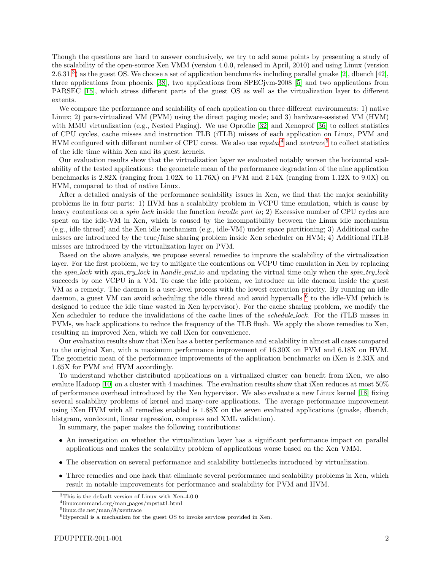Though the questions are hard to answer conclusively, we try to add some points by presenting a study of the scalability of the open-source Xen VMM (version 4.0.0, released in April, 2010) and using Linux (version 2.6.[3](#page-2-0)1<sup>3</sup>) as the guest OS. We choose a set of application benchmarks including parallel gmake [\[2\]](#page-18-6), dbench [\[42\]](#page-19-3), three applications from phoenix [\[38\]](#page-19-4), two applications from SPECjvm-2008 [\[5\]](#page-18-7) and two applications from PARSEC [\[15\]](#page-18-8), which stress different parts of the guest OS as well as the virtualization layer to different extents.

We compare the performance and scalability of each application on three different environments: 1) native Linux; 2) para-virtualized VM (PVM) using the direct paging mode; and 3) hardware-assisted VM (HVM) with MMU virtualization (e.g., Nested Paging). We use Oprofile [\[32\]](#page-19-5) and Xenoprof [\[36\]](#page-19-6) to collect statistics of CPU cycles, cache misses and instruction TLB (iTLB) misses of each application on Linux, PVM and HVM configured with different number of CPU cores. We also use  $mpstat^4$  $mpstat^4$  and  $xentrace^5$  $xentrace^5$  to collect statistics of the idle time within Xen and its guest kernels.

Our evaluation results show that the virtualization layer we evaluated notably worsen the horizontal scalability of the tested applications: the geometric mean of the performance degradation of the nine application benchmarks is 2.82X (ranging from 1.02X to 11.76X) on PVM and 2.14X (ranging from 1.12X to 9.0X) on HVM, compared to that of native Linux.

After a detailed analysis of the performance scalability issues in Xen, we find that the major scalability problems lie in four parts: 1) HVM has a scalability problem in VCPU time emulation, which is cause by heavy contentions on a *spin lock* inside the function *handle pmt io*; 2) Excessive number of CPU cycles are spent on the idle-VM in Xen, which is caused by the incompatibility between the Linux idle mechanism (e.g., idle thread) and the Xen idle mechanism (e.g., idle-VM) under space partitioning; 3) Additional cache misses are introduced by the true/false sharing problem inside Xen scheduler on HVM; 4) Additional iTLB misses are introduced by the virtualization layer on PVM.

Based on the above analysis, we propose several remedies to improve the scalability of the virtualization layer. For the first problem, we try to mitigate the contentions on VCPU time emulation in Xen by replacing the spin-lock with spin-try-lock in handle-pmt-io and updating the virtual time only when the spin-try-lock succeeds by one VCPU in a VM. To ease the idle problem, we introduce an idle daemon inside the guest VM as a remedy. The daemon is a user-level process with the lowest execution priority. By running an idle daemon, a guest VM can avoid scheduling the idle thread and avoid hypercalls <sup>[6](#page-2-3)</sup> to the idle-VM (which is designed to reduce the idle time wasted in Xen hypervisor). For the cache sharing problem, we modify the Xen scheduler to reduce the invalidations of the cache lines of the schedule lock. For the iTLB misses in PVMs, we hack applications to reduce the frequency of the TLB flush. We apply the above remedies to Xen, resulting an improved Xen, which we call iXen for convenience.

Our evaluation results show that iXen has a better performance and scalability in almost all cases compared to the original Xen, with a maximum performance improvement of 16.30X on PVM and 6.18X on HVM. The geometric mean of the performance improvements of the application benchmarks on iXen is 2.33X and 1.65X for PVM and HVM accordingly.

To understand whether distributed applications on a virtualized cluster can benefit from iXen, we also evalute Hadoop [\[10\]](#page-18-9) on a cluster with 4 machines. The evaluation results show that iXen reduces at most 50% of performance overhead introduced by the Xen hypervisor. We also evaluate a new Linux kernel [\[18\]](#page-18-10) fixing several scalability problems of kernel and many-core applications. The average performance improvement using iXen HVM with all remedies enabled is 1.88X on the seven evaluated applications (gmake, dbench, histgram, wordcount, linear regression, compress and XML validation).

In summary, the paper makes the following contributions:

- An investigation on whether the virtualization layer has a significant performance impact on parallel applications and makes the scalability problem of applications worse based on the Xen VMM.
- The observation on several performance and scalability bottlenecks introduced by virtualization.
- Three remedies and one hack that eliminate several performance and scalability problems in Xen, which result in notable improvements for performance and scalability for PVM and HVM.

<sup>3</sup>This is the default version of Linux with Xen-4.0.0

<span id="page-2-0"></span><sup>4</sup> linuxcommand.org/man pages/mpstat1.html

<span id="page-2-1"></span><sup>5</sup> linux.die.net/man/8/xentrace

<span id="page-2-3"></span><span id="page-2-2"></span> ${}^{6}$ Hypercall is a mechanism for the guest OS to invoke services provided in Xen.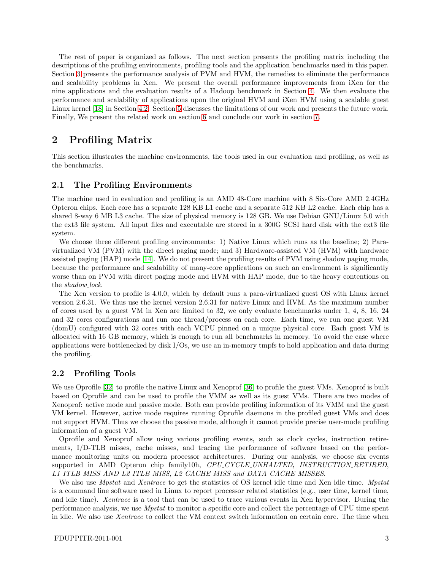The rest of paper is organized as follows. The next section presents the profiling matrix including the descriptions of the profiling environments, profiling tools and the application benchmarks used in this paper. Section [3](#page-6-0) presents the performance analysis of PVM and HVM, the remedies to eliminate the performance and scalability problems in Xen. We present the overall performance improvements from iXen for the nine applications and the evaluation results of a Hadoop benchmark in Section [4.](#page-14-0) We then evaluate the performance and scalability of applications upon the original HVM and iXen HVM using a scalable guest Linux kernel [\[18\]](#page-18-10) in Section [4.2.](#page-15-0) Section [5](#page-16-0) discusses the limitations of our work and presents the future work. Finally, We present the related work on section [6](#page-17-0) and conclude our work in section [7.](#page-17-1)

## 2 Profiling Matrix

This section illustrates the machine environments, the tools used in our evaluation and profiling, as well as the benchmarks.

#### 2.1 The Profiling Environments

The machine used in evaluation and profiling is an AMD 48-Core machine with 8 Six-Core AMD 2.4GHz Opteron chips. Each core has a separate 128 KB L1 cache and a separate 512 KB L2 cache. Each chip has a shared 8-way 6 MB L3 cache. The size of physical memory is 128 GB. We use Debian GNU/Linux 5.0 with the ext3 file system. All input files and executable are stored in a 300G SCSI hard disk with the ext3 file system.

We choose three different profiling environments: 1) Native Linux which runs as the baseline; 2) Paravirtualized VM (PVM) with the direct paging mode; and 3) Hardware-assisted VM (HVM) with hardware assisted paging (HAP) mode [\[14\]](#page-18-3). We do not present the profiling results of PVM using shadow paging mode, because the performance and scalability of many-core applications on such an environment is significantly worse than on PVM with direct paging mode and HVM with HAP mode, due to the heavy contentions on the shadow lock.

The Xen version to profile is 4.0.0, which by default runs a para-virtualized guest OS with Linux kernel version 2.6.31. We thus use the kernel version 2.6.31 for native Linux and HVM. As the maximum number of cores used by a guest VM in Xen are limited to 32, we only evaluate benchmarks under 1, 4, 8, 16, 24 and 32 cores configurations and run one thread/process on each core. Each time, we run one guest VM (domU) configured with 32 cores with each VCPU pinned on a unique physical core. Each guest VM is allocated with 16 GB memory, which is enough to run all benchmarks in memory. To avoid the case where applications were bottlenecked by disk I/Os, we use an in-memory tmpfs to hold application and data during the profiling.

#### 2.2 Profiling Tools

We use Oprofile [\[32\]](#page-19-5) to profile the native Linux and Xenoprof [\[36\]](#page-19-6) to profile the guest VMs. Xenoprof is built based on Oprofile and can be used to profile the VMM as well as its guest VMs. There are two modes of Xenoprof: active mode and passive mode. Both can provide profiling information of its VMM and the guest VM kernel. However, active mode requires running Oprofile daemons in the profiled guest VMs and does not support HVM. Thus we choose the passive mode, although it cannot provide precise user-mode profiling information of a guest VM.

Oprofile and Xenoprof allow using various profiling events, such as clock cycles, instruction retirements, I/D-TLB misses, cache misses, and tracing the performance of software based on the performance monitoring units on modern processor architectures. During our analysis, we choose six events supported in AMD Opteron chip family10h, CPU CYCLE UNHALTED, INSTRUCTION RETIRED, L1 ITLB MISS AND L2 ITLB MISS, L2 CACHE MISS and DATA CACHE MISSES.

We also use *Mpstat* and *Xentrace* to get the statistics of OS kernel idle time and Xen idle time. *Mpstat* is a command line software used in Linux to report processor related statistics (e.g., user time, kernel time, and idle time). Xentrace is a tool that can be used to trace various events in Xen hypervisor. During the performance analysis, we use Mpstat to monitor a specific core and collect the percentage of CPU time spent in idle. We also use Xentrace to collect the VM context switch information on certain core. The time when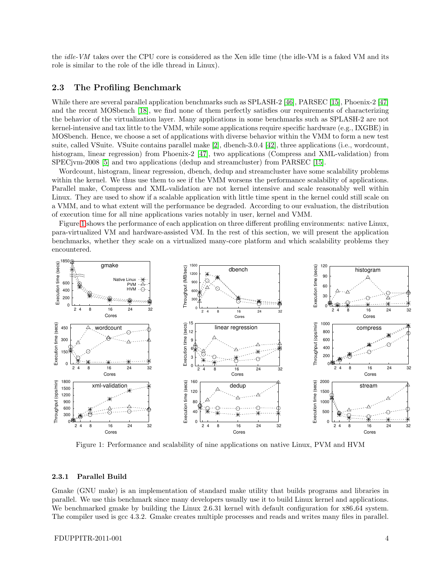the idle-VM takes over the CPU core is considered as the Xen idle time (the idle-VM is a faked VM and its role is similar to the role of the idle thread in Linux).

#### 2.3 The Profiling Benchmark

While there are several parallel application benchmarks such as SPLASH-2 [\[46\]](#page-19-7), PARSEC [\[15\]](#page-18-8), Phoenix-2 [\[47\]](#page-19-8) and the recent MOSbench [\[18\]](#page-18-10), we find none of them perfectly satisfies our requirements of characterizing the behavior of the virtualization layer. Many applications in some benchmarks such as SPLASH-2 are not kernel-intensive and tax little to the VMM, while some applications require specific hardware (e.g., IXGBE) in MOSbench. Hence, we choose a set of applications with diverse behavior within the VMM to form a new test suite, called VSuite. VSuite contains parallel make [\[2\]](#page-18-6), dbench-3.0.4 [\[42\]](#page-19-3), three applications (i.e., wordcount, histogram, linear regression) from Phoenix-2 [\[47\]](#page-19-8), two applications (Compress and XML-validation) from SPECjvm-2008 [\[5\]](#page-18-7) and two applications (dedup and streamcluster) from PARSEC [\[15\]](#page-18-8).

Wordcount, histogram, linear regression, dbench, dedup and streamcluster have some scalability problems within the kernel. We thus use them to see if the VMM worsens the performance scalability of applications. Parallel make, Compress and XML-validation are not kernel intensive and scale reasonably well within Linux. They are used to show if a scalable application with little time spent in the kernel could still scale on a VMM, and to what extent will the performance be degraded. According to our evaluation, the distribution of execution time for all nine applications varies notably in user, kernel and VMM.

Figure [1](#page-4-0) shows the performance of each application on three different profiling environments: native Linux, para-virtualized VM and hardware-assisted VM. In the rest of this section, we will present the application benchmarks, whether they scale on a virtualized many-core platform and which scalability problems they encountered.



<span id="page-4-0"></span>Figure 1: Performance and scalability of nine applications on native Linux, PVM and HVM

#### 2.3.1 Parallel Build

Gmake (GNU make) is an implementation of standard make utility that builds programs and libraries in parallel. We use this benchmark since many developers usually use it to build Linux kernel and applications. We benchmarked gmake by building the Linux 2.6.31 kernel with default configuration for  $x86.64$  system. The compiler used is gcc 4.3.2. Gmake creates multiple processes and reads and writes many files in parallel.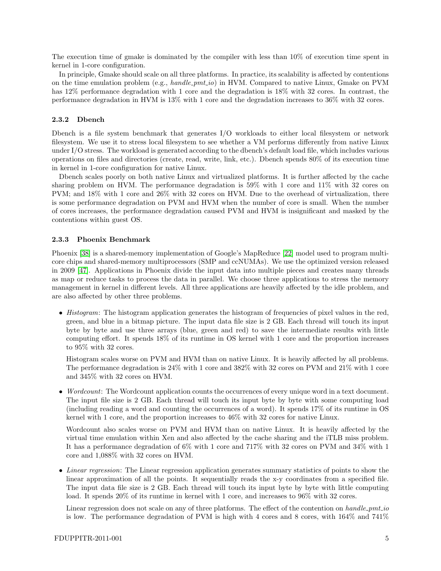The execution time of gmake is dominated by the compiler with less than 10% of execution time spent in kernel in 1-core configuration.

In principle, Gmake should scale on all three platforms. In practice, its scalability is affected by contentions on the time emulation problem (e.g.,  $handle\_pmt\_io$ ) in HVM. Compared to native Linux, Gmake on PVM has 12% performance degradation with 1 core and the degradation is 18% with 32 cores. In contrast, the performance degradation in HVM is 13% with 1 core and the degradation increases to 36% with 32 cores.

#### 2.3.2 Dbench

Dbench is a file system benchmark that generates I/O workloads to either local filesystem or network filesystem. We use it to stress local filesystem to see whether a VM performs differently from native Linux under I/O stress. The workload is generated according to the dbench's default load file, which includes various operations on files and directories (create, read, write, link, etc.). Dbench spends 80% of its execution time in kernel in 1-core configuration for native Linux.

Dbench scales poorly on both native Linux and virtualized platforms. It is further affected by the cache sharing problem on HVM. The performance degradation is 59% with 1 core and 11% with 32 cores on PVM; and 18% with 1 core and 26% with 32 cores on HVM. Due to the overhead of virtualization, there is some performance degradation on PVM and HVM when the number of core is small. When the number of cores increases, the performance degradation caused PVM and HVM is insignificant and masked by the contentions within guest OS.

#### 2.3.3 Phoenix Benchmark

Phoenix [\[38\]](#page-19-4) is a shared-memory implementation of Google's MapReduce [\[22\]](#page-18-11) model used to program multicore chips and shared-memory multiprocessors (SMP and ccNUMAs). We use the optimized version released in 2009 [\[47\]](#page-19-8). Applications in Phoenix divide the input data into multiple pieces and creates many threads as map or reduce tasks to process the data in parallel. We choose three applications to stress the memory management in kernel in different levels. All three applications are heavily affected by the idle problem, and are also affected by other three problems.

• Histogram: The histogram application generates the histogram of frequencies of pixel values in the red, green, and blue in a bitmap picture. The input data file size is 2 GB. Each thread will touch its input byte by byte and use three arrays (blue, green and red) to save the intermediate results with little computing effort. It spends 18% of its runtime in OS kernel with 1 core and the proportion increases to 95% with 32 cores.

Histogram scales worse on PVM and HVM than on native Linux. It is heavily affected by all problems. The performance degradation is 24% with 1 core and 382% with 32 cores on PVM and 21% with 1 core and 345% with 32 cores on HVM.

• *Wordcount*: The Wordcount application counts the occurrences of every unique word in a text document. The input file size is 2 GB. Each thread will touch its input byte by byte with some computing load (including reading a word and counting the occurrences of a word). It spends 17% of its runtime in OS kernel with 1 core, and the proportion increases to 46% with 32 cores for native Linux.

Wordcount also scales worse on PVM and HVM than on native Linux. It is heavily affected by the virtual time emulation within Xen and also affected by the cache sharing and the iTLB miss problem. It has a performance degradation of 6% with 1 core and 717% with 32 cores on PVM and 34% with 1 core and 1,088% with 32 cores on HVM.

• Linear regression: The Linear regression application generates summary statistics of points to show the linear approximation of all the points. It sequentially reads the x-y coordinates from a specified file. The input data file size is 2 GB. Each thread will touch its input byte by byte with little computing load. It spends 20% of its runtime in kernel with 1 core, and increases to 96% with 32 cores.

Linear regression does not scale on any of three platforms. The effect of the contention on handle pmt io is low. The performance degradation of PVM is high with 4 cores and 8 cores, with  $164\%$  and  $741\%$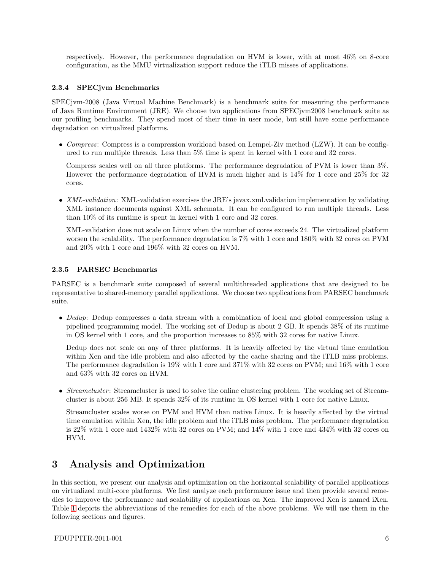respectively. However, the performance degradation on HVM is lower, with at most 46% on 8-core configuration, as the MMU virtualization support reduce the iTLB misses of applications.

## 2.3.4 SPECjvm Benchmarks

SPECjvm-2008 (Java Virtual Machine Benchmark) is a benchmark suite for measuring the performance of Java Runtime Environment (JRE). We choose two applications from SPECjvm2008 benchmark suite as our profiling benchmarks. They spend most of their time in user mode, but still have some performance degradation on virtualized platforms.

• Compress: Compress is a compression workload based on Lempel-Ziv method  $(LZW)$ . It can be configured to run multiple threads. Less than 5% time is spent in kernel with 1 core and 32 cores.

Compress scales well on all three platforms. The performance degradation of PVM is lower than 3%. However the performance degradation of HVM is much higher and is 14% for 1 core and 25% for 32 cores.

• XML-validation: XML-validation exercises the JRE's javax.xml.validation implementation by validating XML instance documents against XML schemata. It can be configured to run multiple threads. Less than 10% of its runtime is spent in kernel with 1 core and 32 cores.

XML-validation does not scale on Linux when the number of cores exceeds 24. The virtualized platform worsen the scalability. The performance degradation is 7% with 1 core and 180% with 32 cores on PVM and 20% with 1 core and 196% with 32 cores on HVM.

## 2.3.5 PARSEC Benchmarks

PARSEC is a benchmark suite composed of several multithreaded applications that are designed to be representative to shared-memory parallel applications. We choose two applications from PARSEC benchmark suite.

• Dedup: Dedup compresses a data stream with a combination of local and global compression using a pipelined programming model. The working set of Dedup is about 2 GB. It spends 38% of its runtime in OS kernel with 1 core, and the proportion increases to 85% with 32 cores for native Linux.

Dedup does not scale on any of three platforms. It is heavily affected by the virtual time emulation within Xen and the idle problem and also affected by the cache sharing and the iTLB miss problems. The performance degradation is 19% with 1 core and 371% with 32 cores on PVM; and 16% with 1 core and 63% with 32 cores on HVM.

• Streamcluster: Streamcluster is used to solve the online clustering problem. The working set of Streamcluster is about 256 MB. It spends 32% of its runtime in OS kernel with 1 core for native Linux.

Streamcluster scales worse on PVM and HVM than native Linux. It is heavily affected by the virtual time emulation within Xen, the idle problem and the iTLB miss problem. The performance degradation is 22% with 1 core and 1432% with 32 cores on PVM; and 14% with 1 core and 434% with 32 cores on HVM.

## <span id="page-6-0"></span>3 Analysis and Optimization

In this section, we present our analysis and optimization on the horizontal scalability of parallel applications on virtualized multi-core platforms. We first analyze each performance issue and then provide several remedies to improve the performance and scalability of applications on Xen. The improved Xen is named iXen. Table [1](#page-7-0) depicts the abbreviations of the remedies for each of the above problems. We will use them in the following sections and figures.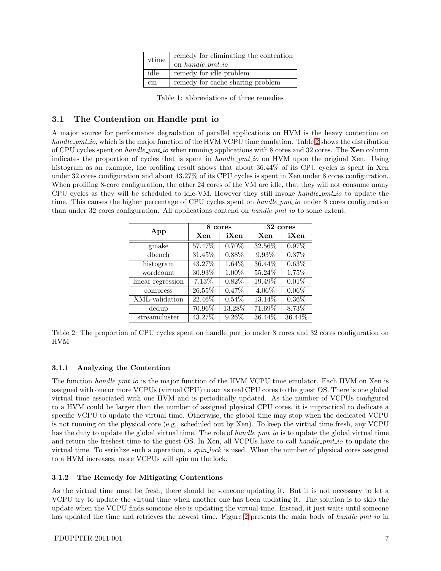| vtime | remedy for eliminating the contention<br>on handle_pmt_io |  |
|-------|-----------------------------------------------------------|--|
| idle  | remedy for idle problem                                   |  |
| cm    | remedy for cache sharing problem                          |  |

<span id="page-7-0"></span>Table 1: abbreviations of three remedies

## 3.1 The Contention on Handle pmt io

A major source for performance degradation of parallel applications on HVM is the heavy contention on handle *pmt* io, which is the major function of the HVM VCPU time emulation. Table [2](#page-7-1) shows the distribution of CPU cycles spent on *handle pmt io* when running applications with 8 cores and 32 cores. The **Xen** column indicates the proportion of cycles that is spent in handle-pmt-io on HVM upon the original Xen. Using histogram as an example, the profiling result shows that about  $36.44\%$  of its CPU cycles is spent in Xen under 32 cores configuration and about 43.27% of its CPU cycles is spent in Xen under 8 cores configuration. When profiling 8-core configuration, the other 24 cores of the VM are idle, that they will not consume many CPU cycles as they will be scheduled to idle-VM. However they still invoke handle  $pmt\_io$  to update the time. This causes the higher percentage of CPU cycles spent on handle *pmt* io under 8 cores configuration than under 32 cores configuration. All applications contend on  $handle\_pmt\_io$  to some extent.

| App               | 8.<br>cores |          | 32 cores |          |
|-------------------|-------------|----------|----------|----------|
|                   | Xen         | iXen     | Xen      | iXen     |
| gmake             | 57.47%      | $0.70\%$ | 32.56%   | $0.97\%$ |
| dbench            | 31.45%      | 0.88%    | $9.93\%$ | 0.37%    |
| histogram         | 43.27%      | $1.64\%$ | 36.44\%  | $0.63\%$ |
| wordcount         | 30.93%      | 1.00%    | 55.24%   | 1.75%    |
| linear regression | 7.13%       | $0.82\%$ | 19.49%   | 0.01%    |
| compress          | 26.55%      | $0.47\%$ | 4.06%    | $0.06\%$ |
| XML-validation    | 22.46%      | 0.54%    | 13.14%   | $0.36\%$ |
| dedup             | 70.96%      | 13.28%   | 71.69%   | 8.73%    |
| streamcluster     | 43.27%      | 9.26%    | 36.44%   | 36.44%   |

<span id="page-7-1"></span>Table 2: The proportion of CPU cycles spent on handle pmt io under 8 cores and 32 cores configuration on HVM

## 3.1.1 Analyzing the Contention

The function handle pmt io is the major function of the HVM VCPU time emulator. Each HVM on Xen is assigned with one or more VCPUs (virtual CPU) to act as real CPU cores to the guest OS. There is one global virtual time associated with one HVM and is periodically updated. As the number of VCPUs configured to a HVM could be larger than the number of assigned physical CPU cores, it is impractical to dedicate a specific VCPU to update the virtual time. Otherwise, the global time may stop when the dedicated VCPU is not running on the physical core (e.g., scheduled out by Xen). To keep the virtual time fresh, any VCPU has the duty to update the global virtual time. The role of handle *pmt* io is to update the global virtual time and return the freshest time to the guest OS. In Xen, all VCPUs have to call handle pmt io to update the virtual time. To serialize such a operation, a spin lock is used. When the number of physical cores assigned to a HVM increases, more VCPUs will spin on the lock.

## 3.1.2 The Remedy for Mitigating Contentions

As the virtual time must be fresh, there should be someone updating it. But it is not necessary to let a VCPU try to update the virtual time when another one has been updating it. The solution is to skip the update when the VCPU finds someone else is updating the virtual time. Instead, it just waits until someone has updated the time and retrieves the newest time. Figure [2](#page-8-0) presents the main body of handle-pmt-io in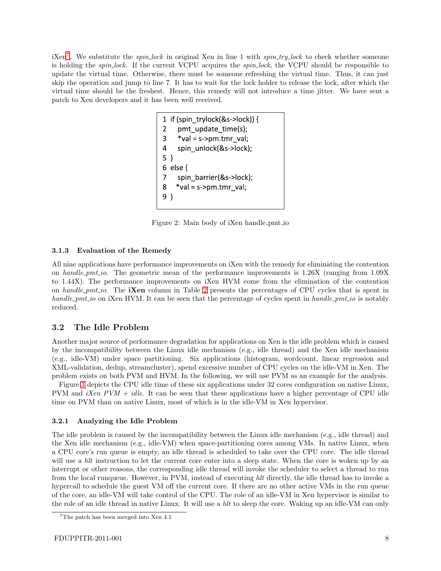$iXen<sup>7</sup>$  $iXen<sup>7</sup>$  $iXen<sup>7</sup>$ . We substitute the *spin lock* in original Xen in line 1 with *spin\_try\_lock* to check whether someone is holding the spin lock. If the current VCPU acquires the spin lock, the VCPU should be responsible to update the virtual time. Otherwise, there must be someone refreshing the virtual time. Thus, it can just skip the operation and jump to line 7. It has to wait for the lock holder to release the lock, after which the virtual time should be the freshest. Hence, this remedy will not introduce a time jitter. We have sent a patch to Xen developers and it has been well received.

```
1 if (spin_trylock(&s->lock)) {
    pmt_update_time(s);
3 *val = s->pm.tmr_val;
4 spin unlock(&s->lock);
5 \}6 else {
\overline{7}spin_barrier(&s->lock);
    *val = s->pm.tmr val;
8
9 }
```
<span id="page-8-0"></span>Figure 2: Main body of iXen handle pmt io

#### 3.1.3 Evaluation of the Remedy

All nine applications have performance improvements on iXen with the remedy for eliminating the contention on handle pmt io. The geometric mean of the performance improvements is  $1.26X$  (ranging from 1.09X) to 1.44X). The performance improvements on iXen HVM come from the elimination of the contention on handle pmt io. The **iXen** column in Table [2](#page-7-1) presents the percentages of CPU cycles that is spent in handle *pmt* io on iXen HVM. It can be seen that the percentage of cycles spent in handle *pmt* io is notably reduced.

## 3.2 The Idle Problem

Another major source of performance degradation for applications on Xen is the idle problem which is caused by the incompatibility between the Linux idle mechanism (e.g., idle thread) and the Xen idle mechanism (e.g., idle-VM) under space partitioning. Six applications (histogram, wordcount, linear regression and XML-validation, dedup, streamcluster), spend excessive number of CPU cycles on the idle-VM in Xen. The problem exists on both PVM and HVM. In the following, we will use PVM as an example for the analysis.

Figure [3](#page-9-0) depicts the CPU idle time of these six applications under 32 cores configuration on native Linux, PVM and *iXen PVM + idle.* It can be seen that these applications have a higher percentage of CPU idle time on PVM than on native Linux, most of which is in the idle-VM in Xen hypervisor.

#### 3.2.1 Analyzing the Idle Problem

The idle problem is caused by the incompatibility between the Linux idle mechanism (e.g., idle thread) and the Xen idle mechanism (e.g., idle-VM) when space-partitioning cores among VMs. In native Linux, when a CPU core's run queue is empty, an idle thread is scheduled to take over the CPU core. The idle thread will use a hlt instruction to let the current core enter into a sleep state. When the core is woken up by an interrupt or other reasons, the corresponding idle thread will invoke the scheduler to select a thread to run from the local runqueue. However, in PVM, instead of executing hlt directly, the idle thread has to invoke a hypercall to schedule the guest VM off the current core. If there are no other active VMs in the run queue of the core, an idle-VM will take control of the CPU. The role of an idle-VM in Xen hypervisor is similar to the role of an idle thread in native Linux. It will use a hlt to sleep the core. Waking up an idle-VM can only

<span id="page-8-1"></span><sup>7</sup>The patch has been merged into Xen 4.1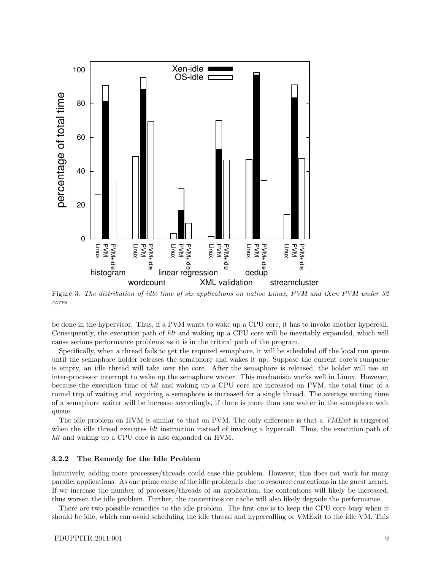

<span id="page-9-0"></span>Figure 3: The distribution of idle time of six applications on native Linux, PVM and iXen PVM under 32 cores

be done in the hypervisor. Thus, if a PVM wants to wake up a CPU core, it has to invoke another hypercall. Consequently, the execution path of hlt and waking up a CPU core will be inevitably expanded, which will cause serious performance problems as it is in the critical path of the program.

Specifically, when a thread fails to get the required semaphore, it will be scheduled off the local run queue until the semaphore holder releases the semaphore and wakes it up. Suppose the current core's runqueue is empty, an idle thread will take over the core. After the semaphore is released, the holder will use an inter-processor interrupt to wake up the semaphore waiter. This mechanism works well in Linux. However, because the execution time of hlt and waking up a CPU core are increased on PVM, the total time of a round trip of waiting and acquiring a semaphore is increased for a single thread. The average waiting time of a semaphore waiter will be increase accordingly, if there is more than one waiter in the semaphore wait queue.

The idle problem on HVM is similar to that on PVM. The only difference is that a *VMExit* is triggered when the idle thread executes hlt instruction instead of invoking a hypercall. Thus, the execution path of hlt and waking up a CPU core is also expanded on HVM.

#### 3.2.2 The Remedy for the Idle Problem

Intuitively, adding more processes/threads could ease this problem. However, this does not work for many parallel applications. As one prime cause of the idle problem is due to resource contentions in the guest kernel. If we increase the number of processes/threads of an application, the contentions will likely be increased, thus worsen the idle problem. Further, the contentions on cache will also likely degrade the performance.

There are two possible remedies to the idle problem. The first one is to keep the CPU core busy when it should be idle, which can avoid scheduling the idle thread and hypercalling or VMExit to the idle VM. This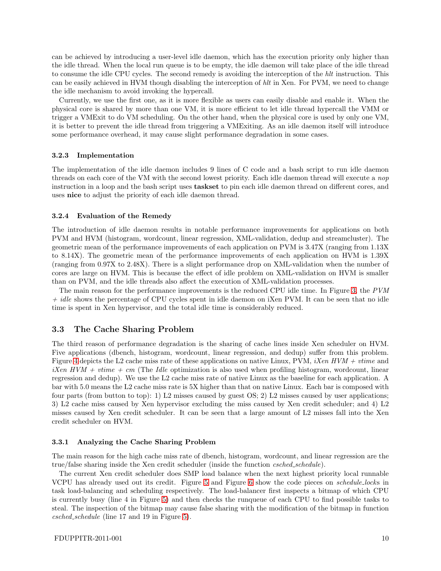can be achieved by introducing a user-level idle daemon, which has the execution priority only higher than the idle thread. When the local run queue is to be empty, the idle daemon will take place of the idle thread to consume the idle CPU cycles. The second remedy is avoiding the interception of the hlt instruction. This can be easily achieved in HVM though disabling the interception of hlt in Xen. For PVM, we need to change the idle mechanism to avoid invoking the hypercall.

Currently, we use the first one, as it is more flexible as users can easily disable and enable it. When the physical core is shared by more than one VM, it is more efficient to let idle thread hypercall the VMM or trigger a VMExit to do VM scheduling. On the other hand, when the physical core is used by only one VM, it is better to prevent the idle thread from triggering a VMExiting. As an idle daemon itself will introduce some performance overhead, it may cause slight performance degradation in some cases.

#### 3.2.3 Implementation

The implementation of the idle daemon includes 9 lines of C code and a bash script to run idle daemon threads on each core of the VM with the second lowest priority. Each idle daemon thread will execute a nop instruction in a loop and the bash script uses taskset to pin each idle daemon thread on different cores, and uses nice to adjust the priority of each idle daemon thread.

#### 3.2.4 Evaluation of the Remedy

The introduction of idle daemon results in notable performance improvements for applications on both PVM and HVM (histogram, wordcount, linear regression, XML-validation, dedup and streamcluster). The geometric mean of the performance improvements of each application on PVM is 3.47X (ranging from 1.13X to 8.14X). The geometric mean of the performance improvements of each application on HVM is 1.39X (ranging from 0.97X to 2.48X). There is a slight performance drop on XML-validation when the number of cores are large on HVM. This is because the effect of idle problem on XML-validation on HVM is smaller than on PVM, and the idle threads also affect the execution of XML-validation processes.

The main reason for the performance improvements is the reduced CPU idle time. In Figure [3,](#page-9-0) the PVM  $+$  *idle* shows the percentage of CPU cycles spent in idle daemon on iXen PVM. It can be seen that no idle time is spent in Xen hypervisor, and the total idle time is considerably reduced.

#### 3.3 The Cache Sharing Problem

The third reason of performance degradation is the sharing of cache lines inside Xen scheduler on HVM. Five applications (dbench, histogram, wordcount, linear regression, and dedup) suffer from this problem. Figure [4](#page-11-0) depicts the L2 cache miss rate of these applications on native Linux, PVM, iXen  $HVM + \text{time}$  and  $iXen HVM + vitme + cm$  (The Idle optimization is also used when profiling histogram, wordcount, linear regression and dedup). We use the L2 cache miss rate of native Linux as the baseline for each application. A bar with 5.0 means the L2 cache miss rate is 5X higher than that on native Linux. Each bar is composed with four parts (from button to top): 1) L2 misses caused by guest OS; 2) L2 misses caused by user applications; 3) L2 cache miss caused by Xen hypervisor excluding the miss caused by Xen credit scheduler; and 4) L2 misses caused by Xen credit scheduler. It can be seen that a large amount of L2 misses fall into the Xen credit scheduler on HVM.

#### 3.3.1 Analyzing the Cache Sharing Problem

The main reason for the high cache miss rate of dbench, histogram, wordcount, and linear regression are the true/false sharing inside the Xen credit scheduler (inside the function *csched\_schedule*).

The current Xen credit scheduler does SMP load balance when the next highest priority local runnable VCPU has already used out its credit. Figure [5](#page-12-0) and Figure [6](#page-12-1) show the code pieces on schedule locks in task load-balancing and scheduling respectively. The load-balancer first inspects a bitmap of which CPU is currently busy (line 4 in Figure [5\)](#page-12-0) and then checks the runqueue of each CPU to find possible tasks to steal. The inspection of the bitmap may cause false sharing with the modification of the bitmap in function csched schedule (line 17 and 19 in Figure [5\)](#page-12-0).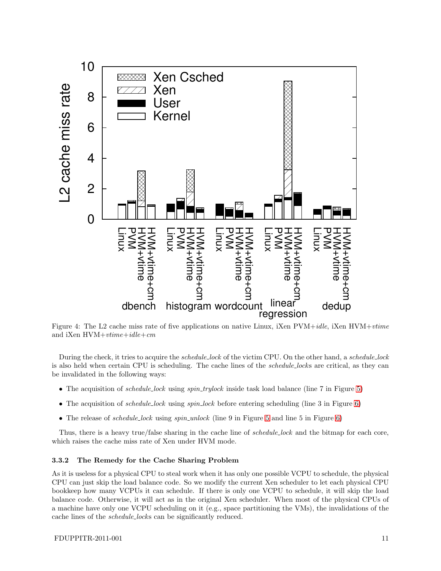

<span id="page-11-0"></span>Figure 4: The L2 cache miss rate of five applications on native Linux, iXen PVM+idle, iXen HVM+vtime and iXen  $HVM+vtime+idle+cm$ 

During the check, it tries to acquire the *schedule\_lock* of the victim CPU. On the other hand, a *schedule\_lock* is also held when certain CPU is scheduling. The cache lines of the schedule locks are critical, as they can be invalidated in the following ways:

- The acquisition of *schedule\_lock* using *spin\_trylock* inside task load balance (line 7 in Figure [5\)](#page-12-0)
- The acquisition of *schedule\_lock* using  $spin\_lock$  before entering scheduling (line 3 in Figure [6\)](#page-12-1)
- The release of *schedule\_lock* using  $spin\_unlock$  (line 9 in Figure [5](#page-12-0) and line 5 in Figure [6\)](#page-12-1)

Thus, there is a heavy true/false sharing in the cache line of *schedule-lock* and the bitmap for each core, which raises the cache miss rate of Xen under HVM mode.

#### 3.3.2 The Remedy for the Cache Sharing Problem

As it is useless for a physical CPU to steal work when it has only one possible VCPU to schedule, the physical CPU can just skip the load balance code. So we modify the current Xen scheduler to let each physical CPU bookkeep how many VCPUs it can schedule. If there is only one VCPU to schedule, it will skip the load balance code. Otherwise, it will act as in the original Xen scheduler. When most of the physical CPUs of a machine have only one VCPU scheduling on it (e.g., space partitioning the VMs), the invalidations of the cache lines of the schedule locks can be significantly reduced.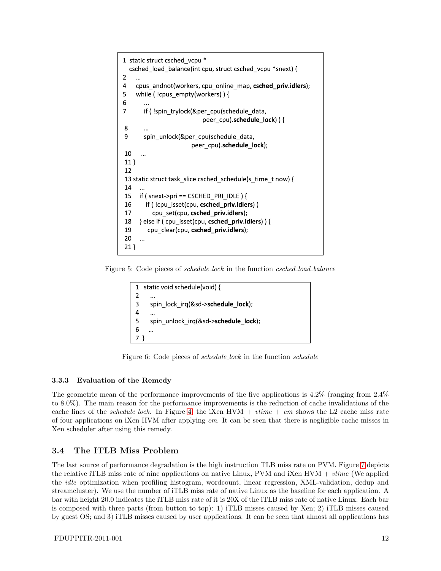```
1 static struct csched vcpu*
  csched load balance(int cpu, struct csched vcpu *snext) {
\overline{2}\overline{4}cpus andnot(workers, cpu online map, csched_priv.idlers);
5
    while (!cpus_empty(workers)) {
6
\overline{7}if (!spin_trylock(&per_cpu(schedule_data,
                             peer_cpu).schedule_lock)) {
8
9
        spin unlock(&per cpu(schedule data,
                         peer_cpu).schedule_lock);
10
       \ddotsc11 \}12
13 static struct task_slice csched_schedule(s_time_t now) {
14
      \dddotsc15
      if ( snext->pri == CSCHED PRI IDLE ) {
        if (!cpu_isset(cpu, csched_priv.idlers))
16
17
           cpu set(cpu, csched priv.idlers);
18
      } else if ( cpu_isset(cpu, csched_priv.idlers) ) {
19
         cpu_clear(cpu, csched_priv.idlers);
20
      \ddotsc21 }
```
Figure 5: Code pieces of schedule lock in the function csched load balance

```
static void schedule(void) {
\mathbf{1}\overline{2}3
      spin_lock_irq(&sd->schedule_lock);
\overline{4}5
      spin_unlock_irq(&sd->schedule_lock);
6
7)
```
<span id="page-12-1"></span>Figure 6: Code pieces of schedule lock in the function schedule

## 3.3.3 Evaluation of the Remedy

The geometric mean of the performance improvements of the five applications is 4.2% (ranging from 2.4% to 8.0%). The main reason for the performance improvements is the reduction of cache invalidations of the cache lines of the *schedule-lock*. In Figure [4,](#page-11-0) the iXen HVM +  $vtime + cm$  shows the L2 cache miss rate of four applications on iXen HVM after applying  $cm$ . It can be seen that there is negligible cache misses in Xen scheduler after using this remedy.

## 3.4 The ITLB Miss Problem

The last source of performance degradation is the high instruction TLB miss rate on PVM. Figure [7](#page-13-0) depicts the relative iTLB miss rate of nine applications on native Linux, PVM and iXen  $HVM + \textit{time}$  (We applied the idle optimization when profiling histogram, wordcount, linear regression, XML-validation, dedup and streamcluster). We use the number of iTLB miss rate of native Linux as the baseline for each application. A bar with height 20.0 indicates the iTLB miss rate of it is 20X of the iTLB miss rate of native Linux. Each bar is composed with three parts (from button to top): 1) iTLB misses caused by Xen; 2) iTLB misses caused by guest OS; and 3) iTLB misses caused by user applications. It can be seen that almost all applications has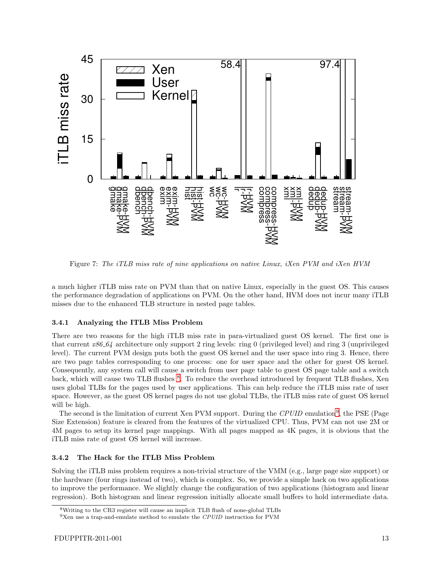

<span id="page-13-0"></span>Figure 7: The iTLB miss rate of nine applications on native Linux, iXen PVM and iXen HVM

a much higher iTLB miss rate on PVM than that on native Linux, especially in the guest OS. This causes the performance degradation of applications on PVM. On the other hand, HVM does not incur many iTLB misses due to the enhanced TLB structure in nested page tables.

#### 3.4.1 Analyzing the ITLB Miss Problem

There are two reasons for the high iTLB miss rate in para-virtualized guest OS kernel. The first one is that current  $x86.64$  architecture only support 2 ring levels: ring 0 (privileged level) and ring 3 (unprivileged level). The current PVM design puts both the guest OS kernel and the user space into ring 3. Hence, there are two page tables corresponding to one process: one for user space and the other for guest OS kernel. Consequently, any system call will cause a switch from user page table to guest OS page table and a switch back, which will cause two TLB flushes <sup>[8](#page-13-1)</sup>. To reduce the overhead introduced by frequent TLB flushes, Xen uses global TLBs for the pages used by user applications. This can help reduce the iTLB miss rate of user space. However, as the guest OS kernel pages do not use global TLBs, the iTLB miss rate of guest OS kernel will be high.

The second is the limitation of current Xen PVM support. During the CPUID emulation<sup>[9](#page-13-2)</sup>, the PSE (Page Size Extension) feature is cleared from the features of the virtualized CPU. Thus, PVM can not use 2M or 4M pages to setup its kernel page mappings. With all pages mapped as 4K pages, it is obvious that the iTLB miss rate of guest OS kernel will increase.

#### 3.4.2 The Hack for the ITLB Miss Problem

Solving the iTLB miss problem requires a non-trivial structure of the VMM (e.g., large page size support) or the hardware (four rings instead of two), which is complex. So, we provide a simple hack on two applications to improve the performance. We slightly change the configuration of two applications (histogram and linear regression). Both histogram and linear regression initially allocate small buffers to hold intermediate data.

<sup>8</sup>Writing to the CR3 register will cause an implicit TLB flush of none-global TLBs

<span id="page-13-2"></span><span id="page-13-1"></span><sup>9</sup>Xen use a trap-and-emulate method to emulate the *CPUID* instruction for PVM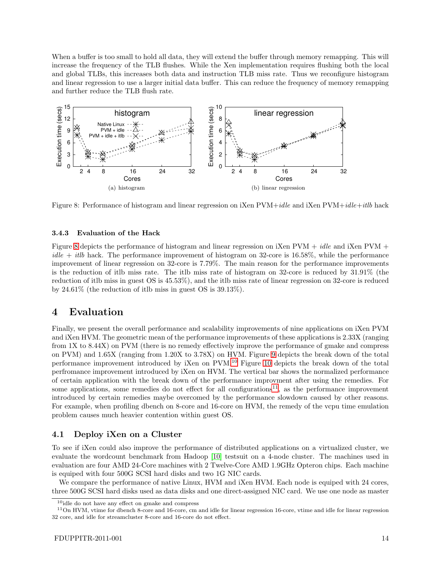When a buffer is too small to hold all data, they will extend the buffer through memory remapping. This will increase the frequency of the TLB flushes. While the Xen implementation requires flushing both the local and global TLBs, this increases both data and instruction TLB miss rate. Thus we reconfigure histogram and linear regression to use a larger initial data buffer. This can reduce the frequency of memory remapping and further reduce the TLB flush rate.



<span id="page-14-1"></span>Figure 8: Performance of histogram and linear regression on iXen PVM+idle and iXen PVM+idle+itlb hack

#### 3.4.3 Evaluation of the Hack

Figure [8](#page-14-1) depicts the performance of histogram and linear regression on iXen PVM + idle and iXen PVM +  $idle + itlb$  hack. The performance improvement of histogram on 32-core is 16.58%, while the performance improvement of linear regression on 32-core is 7.79%. The main reason for the performance improvements is the reduction of itlb miss rate. The itlb miss rate of histogram on 32-core is reduced by 31.91% (the reduction of itlb miss in guest OS is 45.53%), and the itlb miss rate of linear regression on 32-core is reduced by 24.61% (the reduction of itlb miss in guest OS is 39.13%).

## <span id="page-14-0"></span>4 Evaluation

Finally, we present the overall performance and scalability improvements of nine applications on iXen PVM and iXen HVM. The geometric mean of the performance improvements of these applications is 2.33X (ranging from 1X to 8.44X) on PVM (there is no remedy effectively improve the performance of gmake and compress on PVM) and 1.65X (ranging from 1.20X to 3.78X) on HVM. Figure [9](#page-15-1) depicts the break down of the total performance improvement introduced by iXen on PVM.[10](#page-14-2) Figure [10](#page-15-2) depicts the break down of the total perfromance improvement introduced by iXen on HVM. The vertical bar shows the normalized performance of certain application with the break down of the performance improvment after using the remedies. For some applications, some remedies do not effect for all configurations<sup>[11](#page-14-3)</sup>, as the performance improvement introduced by certain remedies maybe overcomed by the performance slowdown caused by other reasons. For example, when profiling dbench on 8-core and 16-core on HVM, the remedy of the vcpu time emulation problem causes much heavier contention within guest OS.

#### 4.1 Deploy iXen on a Cluster

To see if iXen could also improve the performance of distributed applications on a virtualized cluster, we evaluate the wordcount benchmark from Hadoop [\[10\]](#page-18-9) testsuit on a 4-node cluster. The machines used in evaluation are four AMD 24-Core machines with 2 Twelve-Core AMD 1.9GHz Opteron chips. Each machine is equiped with four 500G SCSI hard disks and two 1G NIC cards.

We compare the performance of native Linux, HVM and iXen HVM. Each node is equiped with 24 cores, three 500G SCSI hard disks used as data disks and one direct-assigned NIC card. We use one node as master

<span id="page-14-2"></span> $^{10}$ idle do not have any effect on gmake and compress

<span id="page-14-3"></span> $11$ On HVM, vtime for dbench 8-core and 16-core, cm and idle for linear regression 16-core, vtime and idle for linear regression 32 core, and idle for streamcluster 8-core and 16-core do not effect.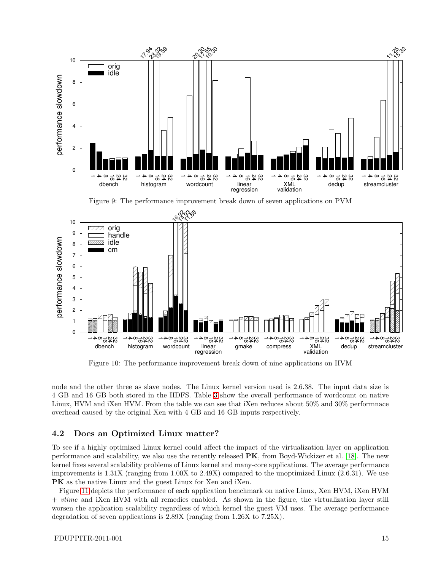

<span id="page-15-2"></span><span id="page-15-1"></span>Figure 10: The performance improvement break down of nine applications on HVM

node and the other three as slave nodes. The Linux kernel version used is 2.6.38. The input data size is 4 GB and 16 GB both stored in the HDFS. Table [3](#page-16-1) show the overall performance of wordcount on native Linux, HVM and iXen HVM. From the table we can see that iXen reduces about 50% and 30% performnace overhead caused by the original Xen with 4 GB and 16 GB inputs respectively.

## <span id="page-15-0"></span>4.2 Does an Optimized Linux matter?

To see if a highly optimized Linux kernel could affect the impact of the virtualization layer on application performance and scalability, we also use the recently released  $\overline{PK}$ , from Boyd-Wickizer et al. [\[18\]](#page-18-10). The new kernel fixes several scalability problems of Linux kernel and many-core applications. The average performance improvements is 1.31X (ranging from 1.00X to 2.49X) compared to the unoptimized Linux (2.6.31). We use PK as the native Linux and the guest Linux for Xen and iXen.

Figure [11](#page-16-2) depicts the performance of each application benchmark on native Linux, Xen HVM, iXen HVM + vtime and iXen HVM with all remedies enabled. As shown in the figure, the virtualization layer still worsen the application scalability regardless of which kernel the guest VM uses. The average performance degradation of seven applications is 2.89X (ranging from 1.26X to 7.25X).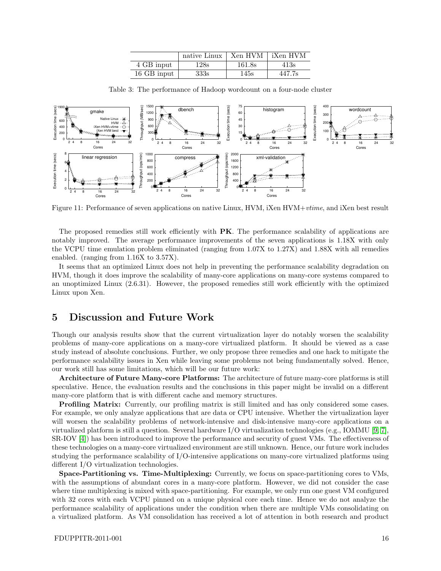|             | native Linux | Xen HVM iXen HVM |        |
|-------------|--------------|------------------|--------|
| 4 GB input  | 128s         | 161.8s           | 413s   |
| 16 GB input | 333s         | 145s             | 447.7s |

<span id="page-16-1"></span>Table 3: The performance of Hadoop wordcount on a four-node cluster



<span id="page-16-2"></span>Figure 11: Performance of seven applications on native Linux, HVM, iXen HVM+vtime, and iXen best result

The proposed remedies still work efficiently with **PK**. The performance scalability of applications are notably improved. The average performance improvements of the seven applications is 1.18X with only the VCPU time emulation problem eliminated (ranging from 1.07X to 1.27X) and 1.88X with all remedies enabled. (ranging from 1.16X to 3.57X).

It seems that an optimized Linux does not help in preventing the performance scalability degradation on HVM, though it does improve the scalability of many-core applications on many-core systems compared to an unoptimized Linux (2.6.31). However, the proposed remedies still work efficiently with the optimized Linux upon Xen.

## <span id="page-16-0"></span>5 Discussion and Future Work

Though our analysis results show that the current virtualization layer do notably worsen the scalability problems of many-core applications on a many-core virtualized platform. It should be viewed as a case study instead of absolute conclusions. Further, we only propose three remedies and one hack to mitigate the performance scalability issues in Xen while leaving some problems not being fundamentally solved. Hence, our work still has some limitations, which will be our future work:

Architecture of Future Many-core Platforms: The architecture of future many-core platforms is still speculative. Hence, the evaluation results and the conclusions in this paper might be invalid on a different many-core platform that is with different cache and memory structures.

Profiling Matrix: Currently, our profiling matrix is still limited and has only considered some cases. For example, we only analyze applications that are data or CPU intensive. Whether the virtualization layer will worsen the scalability problems of network-intensive and disk-intensive many-core applications on a virtualized platform is still a question. Several hardware I/O virtualization technologies (e.g., IOMMU [\[9,](#page-18-12) [7\]](#page-18-13), SR-IOV [\[4\]](#page-18-14)) has been introduced to improve the performance and security of guest VMs. The effectiveness of these technologies on a many-core virtualized environment are still unknown. Hence, our future work includes studying the performance scalability of I/O-intensive applications on many-core virtualized platforms using different I/O virtualization technologies.

Space-Partitioning vs. Time-Multiplexing: Currently, we focus on space-partitioning cores to VMs, with the assumptions of abundant cores in a many-core platform. However, we did not consider the case where time multiplexing is mixed with space-partitioning. For example, we only run one guest VM configured with 32 cores with each VCPU pinned on a unique physical core each time. Hence we do not analyze the performance scalability of applications under the condition when there are multiple VMs consolidating on a virtualized platform. As VM consolidation has received a lot of attention in both research and product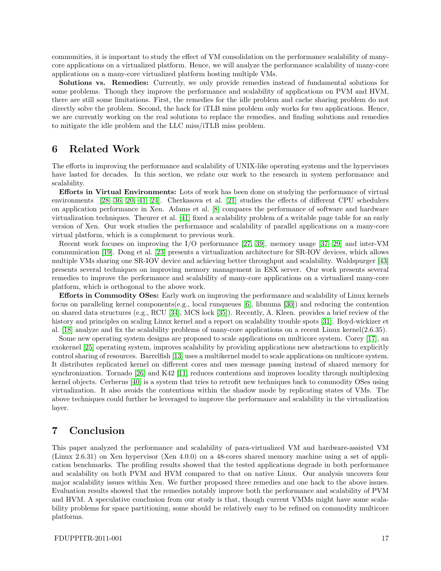communities, it is important to study the effect of VM consolidation on the performance scalability of manycore applications on a virtualized platform. Hence, we will analyze the performance scalability of many-core applications on a many-core virtualized platform hosting multiple VMs.

Solutions vs. Remedies: Currently, we only provide remedies instead of fundamental solutions for some problems. Though they improve the performance and scalability of applications on PVM and HVM, there are still some limitations. First, the remedies for the idle problem and cache sharing problem do not directly solve the problem. Second, the hack for iTLB miss problem only works for two applications. Hence, we are currently working on the real solutions to replace the remedies, and finding solutions and remedies to mitigate the idle problem and the LLC miss/iTLB miss problem.

## <span id="page-17-0"></span>6 Related Work

The efforts in improving the performance and scalability of UNIX-like operating systems and the hypervisors have lasted for decades. In this section, we relate our work to the research in system performance and scalability.

Efforts in Virtual Environments: Lots of work has been done on studying the performance of virtual environments [\[28,](#page-19-9) [36,](#page-19-6) [20,](#page-18-15) [41,](#page-19-10) [24\]](#page-18-16). Cherkasova et al. [\[21\]](#page-18-17) studies the effects of different CPU schedulers on application performance in Xen. Adams et al. [\[8\]](#page-18-18) compares the performance of software and hardware virtualization techniques. Theurer et al. [\[41\]](#page-19-10) fixed a scalability problem of a writable page table for an early version of Xen. Our work studies the performance and scalability of parallel applications on a many-core virtual platform, which is a complement to previous work.

Recent work focuses on improving the I/O performance [\[27,](#page-19-11) [39\]](#page-19-12), memory usage [\[37,](#page-19-13) [29\]](#page-19-14) and inter-VM communication [\[19\]](#page-18-19). Dong et al. [\[23\]](#page-18-20) presents a virtualization architecture for SR-IOV devices, which allows multiple VMs sharing one SR-IOV device and achieving better throughput and scalability. Waldspurger [\[43\]](#page-19-15) presents several techniques on improving memory management in ESX server. Our work presents several remedies to improve the performance and scalability of many-core applications on a virtualized many-core platform, which is orthogonal to the above work.

Efforts in Commodity OSes: Early work on improving the performance and scalability of Linux kernels focus on paralleling kernel components(e.g., local runqueues [\[6\]](#page-18-21), libnuma [\[30\]](#page-19-16)) and reducing the contention on shared data structures (e.g., RCU [\[34\]](#page-19-17), MCS lock [\[35\]](#page-19-18)). Recently, A. Kleen. provides a brief review of the history and principles on scaling Linux kernel and a report on scalability trouble spots [\[31\]](#page-19-19). Boyd-wickizer et al. [\[18\]](#page-18-10) analyze and fix the scalability problems of many-core applications on a recent Linux kernel(2.6.35).

Some new operating system designs are proposed to scale applications on multicore system. Corey [\[17\]](#page-18-5), an exokernel [\[25\]](#page-18-22) operating system, improves scalability by providing applications new abstractions to explicitly control sharing of resources. Barrelfish [\[13\]](#page-18-23) uses a multikernel model to scale applications on multicore system. It distributes replicated kernel on different cores and uses message passing instead of shared memory for synchronization. Tornado [\[26\]](#page-18-24) and K42 [\[11\]](#page-18-25) reduces contentions and improves locality through multiplexing kernel objects. Cerberus [\[40\]](#page-19-20) is a system that tries to retrofit new techniques back to commodity OSes using virtualization. It also avoids the contentions within the shadow mode by replicating states of VMs. The above techniques could further be leveraged to improve the performance and scalability in the virtualization layer.

## <span id="page-17-1"></span>7 Conclusion

This paper analyzed the performance and scalability of para-virtualized VM and hardware-assisted VM (Linux 2.6.31) on Xen hypervisor (Xen 4.0.0) on a 48-cores shared memory machine using a set of application benchmarks. The profiling results showed that the tested applications degrade in both performance and scalability on both PVM and HVM compared to that on native Linux. Our analysis uncovers four major scalability issues within Xen. We further proposed three remedies and one hack to the above issues. Evaluation results showed that the remedies notably improve both the performance and scalability of PVM and HVM. A speculative conclusion from our study is that, though current VMMs might have some scalability problems for space partitioning, some should be relatively easy to be refined on commodity multicore platforms.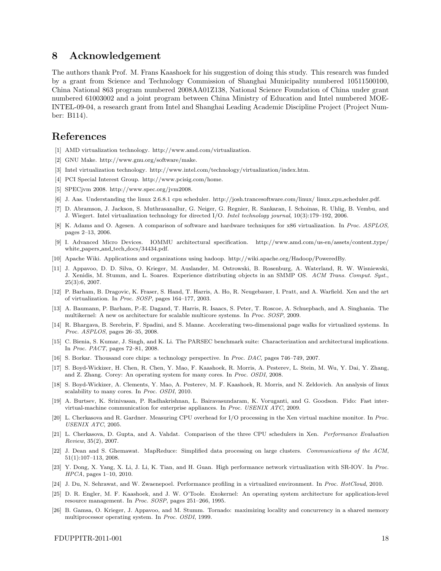## 8 Acknowledgement

The authors thank Prof. M. Frans Kaashoek for his suggestion of doing this study. This research was funded by a grant from Science and Technology Commission of Shanghai Municipality numbered 10511500100, China National 863 program numbered 2008AA01Z138, National Science Foundation of China under grant numbered 61003002 and a joint program between China Ministry of Education and Intel numbered MOE-INTEL-09-04, a research grant from Intel and Shanghai Leading Academic Discipline Project (Project Number: B114).

## <span id="page-18-2"></span>References

- <span id="page-18-6"></span>[1] AMD virtualization technology. http://www.amd.com/virtualization.
- <span id="page-18-1"></span>[2] GNU Make. http://www.gnu.org/software/make.
- <span id="page-18-14"></span>[3] Intel virtualization technology. http://www.intel.com/technology/virtualization/index.htm.
- <span id="page-18-7"></span>[4] PCI Special Interest Group. http://www.pcisig.com/home.
- <span id="page-18-21"></span>[5] SPECjvm 2008. http://www.spec.org/jvm2008.
- <span id="page-18-13"></span>[6] J. Aas. Understanding the linux 2.6.8.1 cpu scheduler. http://josh.trancesoftware.com/linux/ linux cpu scheduler.pdf.
- [7] D. Abramson, J. Jackson, S. Muthrasanallur, G. Neiger, G. Regnier, R. Sankaran, I. Schoinas, R. Uhlig, B. Vembu, and J. Wiegert. Intel virtualization technology for directed I/O. *Intel technology journal*, 10(3):179–192, 2006.
- <span id="page-18-18"></span>[8] K. Adams and O. Agesen. A comparison of software and hardware techniques for x86 virtualization. In *Proc. ASPLOS*, pages 2–13, 2006.
- <span id="page-18-12"></span>[9] I. Advanced Micro Devices. IOMMU architectural specification. http://www.amd.com/us-en/assets/content type/ white papers and tech docs/34434.pdf.
- <span id="page-18-25"></span><span id="page-18-9"></span>[10] Apache Wiki. Applications and organizations using hadoop. http://wiki.apache.org/Hadoop/PoweredBy.
- [11] J. Appavoo, D. D. Silva, O. Krieger, M. Auslander, M. Ostrowski, B. Rosenburg, A. Waterland, R. W. Wisniewski, J. Xenidis, M. Stumm, and L. Soares. Experience distributing objects in an SMMP OS. *ACM Trans. Comput. Syst.*, 25(3):6, 2007.
- <span id="page-18-0"></span>[12] P. Barham, B. Dragovic, K. Fraser, S. Hand, T. Harris, A. Ho, R. Neugebauer, I. Pratt, and A. Warfield. Xen and the art of virtualization. In *Proc. SOSP*, pages 164–177, 2003.
- <span id="page-18-23"></span>[13] A. Baumann, P. Barham, P.-E. Dagand, T. Harris, R. Isaacs, S. Peter, T. Roscoe, A. Schuepbach, and A. Singhania. The multikernel: A new os architecture for scalable multicore systems. In *Proc. SOSP*, 2009.
- <span id="page-18-3"></span>[14] R. Bhargava, B. Serebrin, F. Spadini, and S. Manne. Accelerating two-dimensional page walks for virtualized systems. In *Proc. ASPLOS*, pages 26–35, 2008.
- <span id="page-18-8"></span>[15] C. Bienia, S. Kumar, J. Singh, and K. Li. The PARSEC benchmark suite: Characterization and architectural implications. In *Proc. PACT*, pages 72–81, 2008.
- <span id="page-18-5"></span><span id="page-18-4"></span>[16] S. Borkar. Thousand core chips: a technology perspective. In *Proc. DAC*, pages 746–749, 2007.
- [17] S. Boyd-Wickizer, H. Chen, R. Chen, Y. Mao, F. Kaashoek, R. Morris, A. Pesterev, L. Stein, M. Wu, Y. Dai, Y. Zhang, and Z. Zhang. Corey: An operating system for many cores. In *Proc. OSDI*, 2008.
- <span id="page-18-10"></span>[18] S. Boyd-Wickizer, A. Clements, Y. Mao, A. Pesterev, M. F. Kaashoek, R. Morris, and N. Zeldovich. An analysis of linux scalability to many cores. In *Proc. OSDI*, 2010.
- <span id="page-18-19"></span>[19] A. Burtsev, K. Srinivasan, P. Radhakrishnan, L. Bairavasundaram, K. Voruganti, and G. Goodson. Fido: Fast intervirtual-machine communication for enterprise appliances. In *Proc. USENIX ATC*, 2009.
- <span id="page-18-15"></span>[20] L. Cherkasova and R. Gardner. Measuring CPU overhead for I/O processing in the Xen virtual machine monitor. In *Proc. USENIX ATC*, 2005.
- <span id="page-18-17"></span>[21] L. Cherkasova, D. Gupta, and A. Vahdat. Comparison of the three CPU schedulers in Xen. *Performance Evaluation Review*, 35(2), 2007.
- <span id="page-18-11"></span>[22] J. Dean and S. Ghemawat. MapReduce: Simplified data processing on large clusters. *Communications of the ACM*, 51(1):107–113, 2008.
- <span id="page-18-20"></span>[23] Y. Dong, X. Yang, X. Li, J. Li, K. Tian, and H. Guan. High performance network virtualization with SR-IOV. In *Proc. HPCA*, pages 1–10, 2010.
- <span id="page-18-22"></span><span id="page-18-16"></span>[24] J. Du, N. Sehrawat, and W. Zwaenepoel. Performance profiling in a virtualized environment. In *Proc. HotCloud*, 2010.
- [25] D. R. Engler, M. F. Kaashoek, and J. W. O'Toole. Exokernel: An operating system architecture for application-level resource management. In *Proc. SOSP*, pages 251–266, 1995.
- <span id="page-18-24"></span>[26] B. Gamsa, O. Krieger, J. Appavoo, and M. Stumm. Tornado: maximizing locality and concurrency in a shared memory multiprocessor operating system. In *Proc. OSDI*, 1999.